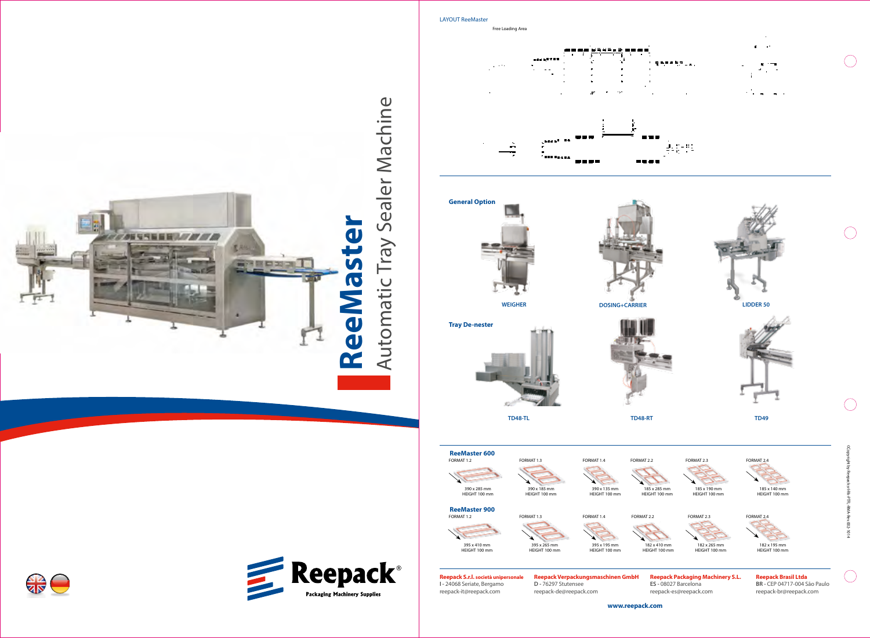



**www.reepack.com**



 $\bigcap$ 

-99



**TD49**

LAYOUT ReeMaster

182 x 410 mm HEIGHT 100 mm

395 x 195 mm HEIGHT 100 mm

-446  $\cdot$   $\cdot$  $\mathbf{r}$ **BAAR** A **........** - - - -**General Option WEIGHER DOSING+CARRIER LIDDER 50 Tray De-nester JET TD48-TL TD48-RT ReeMaster 600** FORMAT 1.2 FORMAT 1.3 FORMAT 1.4 FORMAT 2.2 FORMAT 2.3 FORMAT 2.4 FORMAT 2.2 390 x 285 mm 390 x 185 mm 390 x 135 mm 185 x 285 mm HEIGHT 100 mm HEIGHT 100 mm HEIGHT 100 mm HEIGHT 100 mm **ReeMaster 900** FORMAT 1.2 FORMAT 1.3 FORMAT 2.2 FORMAT 1.4 FORMAT 2.3 FORMAT 2.4

> 395 x 410 mm HEIGHT 100 mm

395 x 265 mm HEIGHT 100 mm

Free Loading Area





**Reepack Verpackungsmaschinen GmbH D -** 76297 Stutensee reepack-de@reepack.com

**Reepack S.r.l. società unipersonale I -** 24068 Seriate, Bergamo reepack-it@reepack.com

**ES -** 08027 Barcelona reepack-es@reepack.com **BR -** CEP 04717-004 São Paulo reepack-br@reepack.com